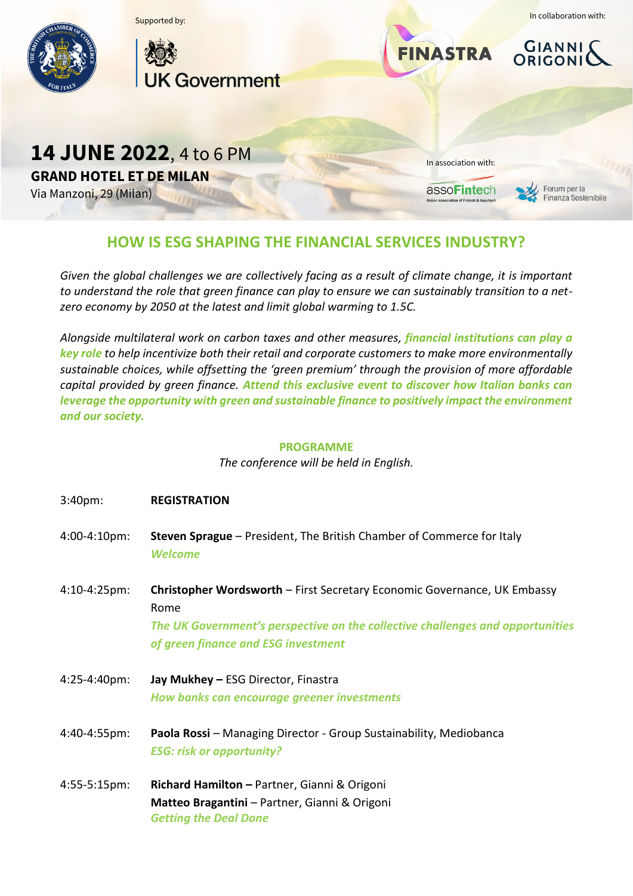

## **HOW IS ESG SHAPING THE FINANCIAL SERVICES INDUSTRY?**

*Given the global challenges we are collectively facing as a result of climate change, it is important to understand the role that green finance can play to ensure we can sustainably transition to a netzero economy by 2050 at the latest and limit global warming to 1.5C.*

*Alongside multilateral work on carbon taxes and other measures, financial institutions can play a key role to help incentivize both their retail and corporate customers to make more environmentally sustainable choices, while offsetting the 'green premium' through the provision of more affordable capital provided by green finance. Attend this exclusive event to discover how Italian banks can leverage the opportunity with green and sustainable finance to positively impact the environment and our society.*

## **PROGRAMME**

*The conference will be held in English.*

| 3:40 <sub>pm</sub> | <b>REGISTRATION</b>                                                                                                                                                                                              |
|--------------------|------------------------------------------------------------------------------------------------------------------------------------------------------------------------------------------------------------------|
| 4:00-4:10pm:       | Steven Sprague - President, The British Chamber of Commerce for Italy<br><b>Welcome</b>                                                                                                                          |
| 4:10-4:25pm:       | <b>Christopher Wordsworth</b> – First Secretary Economic Governance, UK Embassy<br>Rome<br>The UK Government's perspective on the collective challenges and opportunities<br>of green finance and ESG investment |
| 4:25-4:40pm:       | Jay Mukhey - ESG Director, Finastra<br>How banks can encourage greener investments                                                                                                                               |
| 4:40-4:55pm:       | Paola Rossi - Managing Director - Group Sustainability, Mediobanca<br><b>ESG: risk or opportunity?</b>                                                                                                           |
| 4:55-5:15pm:       | Richard Hamilton - Partner, Gianni & Origoni<br>Matteo Bragantini - Partner, Gianni & Origoni<br><b>Getting the Deal Done</b>                                                                                    |